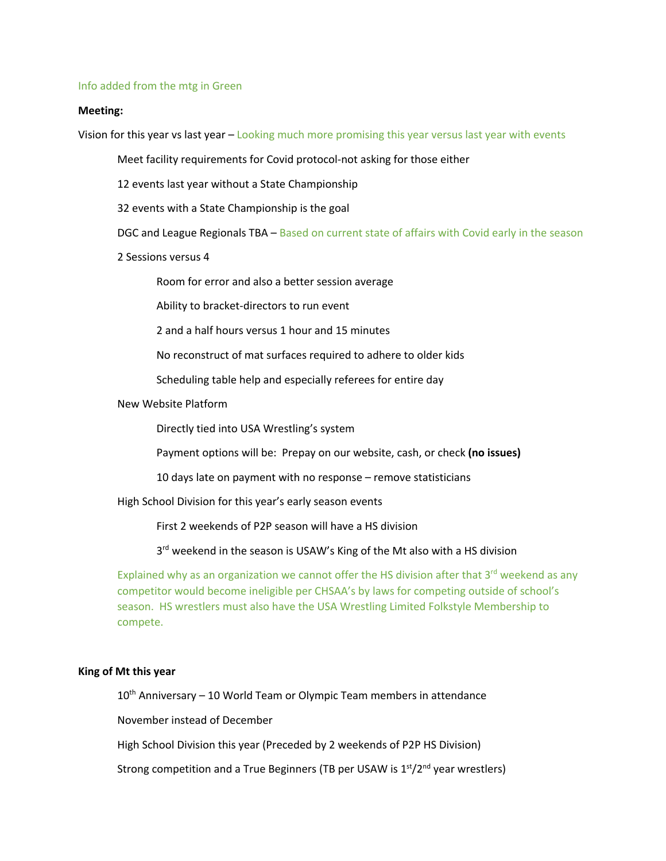#### Info added from the mtg in Green

### **Meeting:**

Vision for this year vs last year - Looking much more promising this year versus last year with events

Meet facility requirements for Covid protocol-not asking for those either

12 events last year without a State Championship

32 events with a State Championship is the goal

DGC and League Regionals TBA – Based on current state of affairs with Covid early in the season

2 Sessions versus 4

Room for error and also a better session average

Ability to bracket-directors to run event

2 and a half hours versus 1 hour and 15 minutes

No reconstruct of mat surfaces required to adhere to older kids

Scheduling table help and especially referees for entire day

New Website Platform

Directly tied into USA Wrestling's system

Payment options will be: Prepay on our website, cash, or check **(no issues)**

10 days late on payment with no response – remove statisticians

High School Division for this year's early season events

First 2 weekends of P2P season will have a HS division

3<sup>rd</sup> weekend in the season is USAW's King of the Mt also with a HS division

Explained why as an organization we cannot offer the HS division after that  $3<sup>rd</sup>$  weekend as any competitor would become ineligible per CHSAA's by laws for competing outside of school's season. HS wrestlers must also have the USA Wrestling Limited Folkstyle Membership to compete.

#### **King of Mt this year**

 $10<sup>th</sup>$  Anniversary – 10 World Team or Olympic Team members in attendance

November instead of December

High School Division this year (Preceded by 2 weekends of P2P HS Division)

Strong competition and a True Beginners (TB per USAW is  $1<sup>st</sup>/2<sup>nd</sup>$  year wrestlers)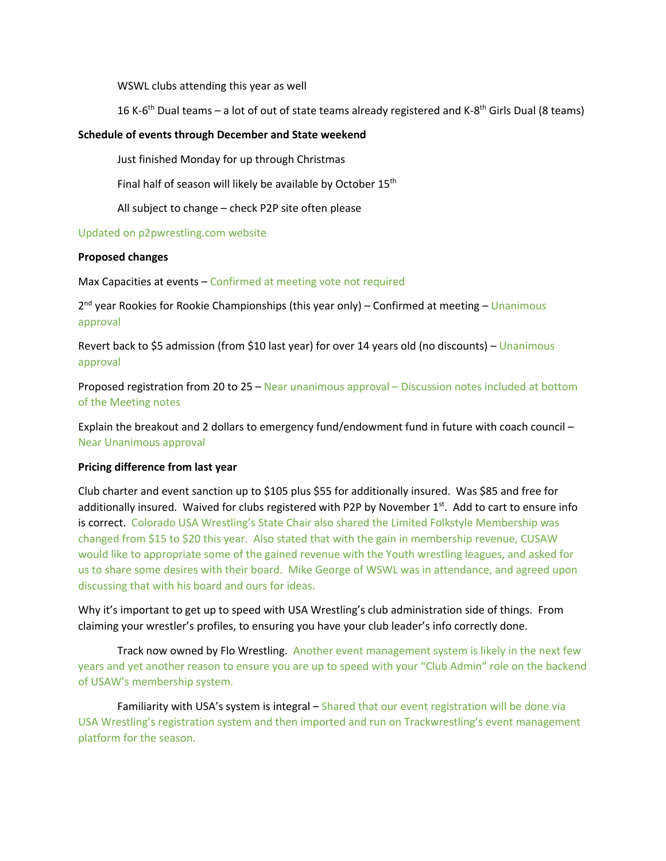WSWL clubs attending this year as well

16 K-6<sup>th</sup> Dual teams – a lot of out of state teams already registered and K-8<sup>th</sup> Girls Dual (8 teams)

## **Schedule of events through December and State weekend**

Just finished Monday for up through Christmas

Final half of season will likely be available by October 15<sup>th</sup>

All subject to change – check P2P site often please

Updated on p2pwrestling.com website

### **Proposed changes**

Max Capacities at events – Confirmed at meeting vote not required

 $2<sup>nd</sup>$  year Rookies for Rookie Championships (this year only) – Confirmed at meeting – Unanimous approval

Revert back to \$5 admission (from \$10 last year) for over 14 years old (no discounts) – Unanimous approval

Proposed registration from 20 to 25 – Near unanimous approval – Discussion notes included at bottom of the Meeting notes

Explain the breakout and 2 dollars to emergency fund/endowment fund in future with coach council – Near Unanimous approval

### **Pricing difference from last year**

Club charter and event sanction up to \$105 plus \$55 for additionally insured. Was \$85 and free for additionally insured. Waived for clubs registered with P2P by November  $1<sup>st</sup>$ . Add to cart to ensure info is correct. Colorado USA Wrestling's State Chair also shared the Limited Folkstyle Membership was changed from \$15 to \$20 this year. Also stated that with the gain in membership revenue, CUSAW would like to appropriate some of the gained revenue with the Youth wrestling leagues, and asked for us to share some desires with their board. Mike George of WSWL was in attendance, and agreed upon discussing that with his board and ours for ideas.

Why it's important to get up to speed with USA Wrestling's club administration side of things. From claiming your wrestler's profiles, to ensuring you have your club leader's info correctly done.

Track now owned by Flo Wrestling. Another event management system is likely in the next few years and yet another reason to ensure you are up to speed with your "Club Admin" role on the backend of USAW's membership system.

Familiarity with USA's system is integral – Shared that our event registration will be done via USA Wrestling's registration system and then imported and run on Trackwrestling's event management platform for the season.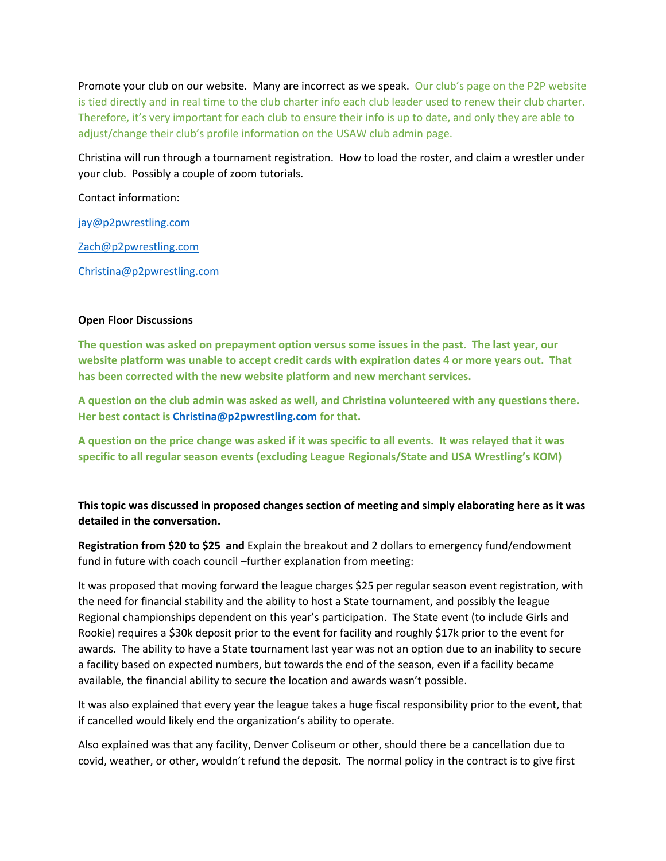Promote your club on our website. Many are incorrect as we speak. Our club's page on the P2P website is tied directly and in real time to the club charter info each club leader used to renew their club charter. Therefore, it's very important for each club to ensure their info is up to date, and only they are able to adjust/change their club's profile information on the USAW club admin page.

Christina will run through a tournament registration. How to load the roster, and claim a wrestler under your club. Possibly a couple of zoom tutorials.

Contact information:

jay@p2pwrestling.com

Zach@p2pwrestling.com

Christina@p2pwrestling.com

### **Open Floor Discussions**

**The question was asked on prepayment option versus some issues in the past. The last year, our website platform was unable to accept credit cards with expiration dates 4 or more years out. That has been corrected with the new website platform and new merchant services.**

**A question on the club admin was asked as well, and Christina volunteered with any questions there. Her best contact is Christina@p2pwrestling.com for that.**

**A question on the price change was asked if it was specific to all events. It was relayed that it was specific to all regular season events (excluding League Regionals/State and USA Wrestling's KOM)**

# **This topic was discussed in proposed changes section of meeting and simply elaborating here as it was detailed in the conversation.**

**Registration from \$20 to \$25 and** Explain the breakout and 2 dollars to emergency fund/endowment fund in future with coach council –further explanation from meeting:

It was proposed that moving forward the league charges \$25 per regular season event registration, with the need for financial stability and the ability to host a State tournament, and possibly the league Regional championships dependent on this year's participation. The State event (to include Girls and Rookie) requires a \$30k deposit prior to the event for facility and roughly \$17k prior to the event for awards. The ability to have a State tournament last year was not an option due to an inability to secure a facility based on expected numbers, but towards the end of the season, even if a facility became available, the financial ability to secure the location and awards wasn't possible.

It was also explained that every year the league takes a huge fiscal responsibility prior to the event, that if cancelled would likely end the organization's ability to operate.

Also explained was that any facility, Denver Coliseum or other, should there be a cancellation due to covid, weather, or other, wouldn't refund the deposit. The normal policy in the contract is to give first